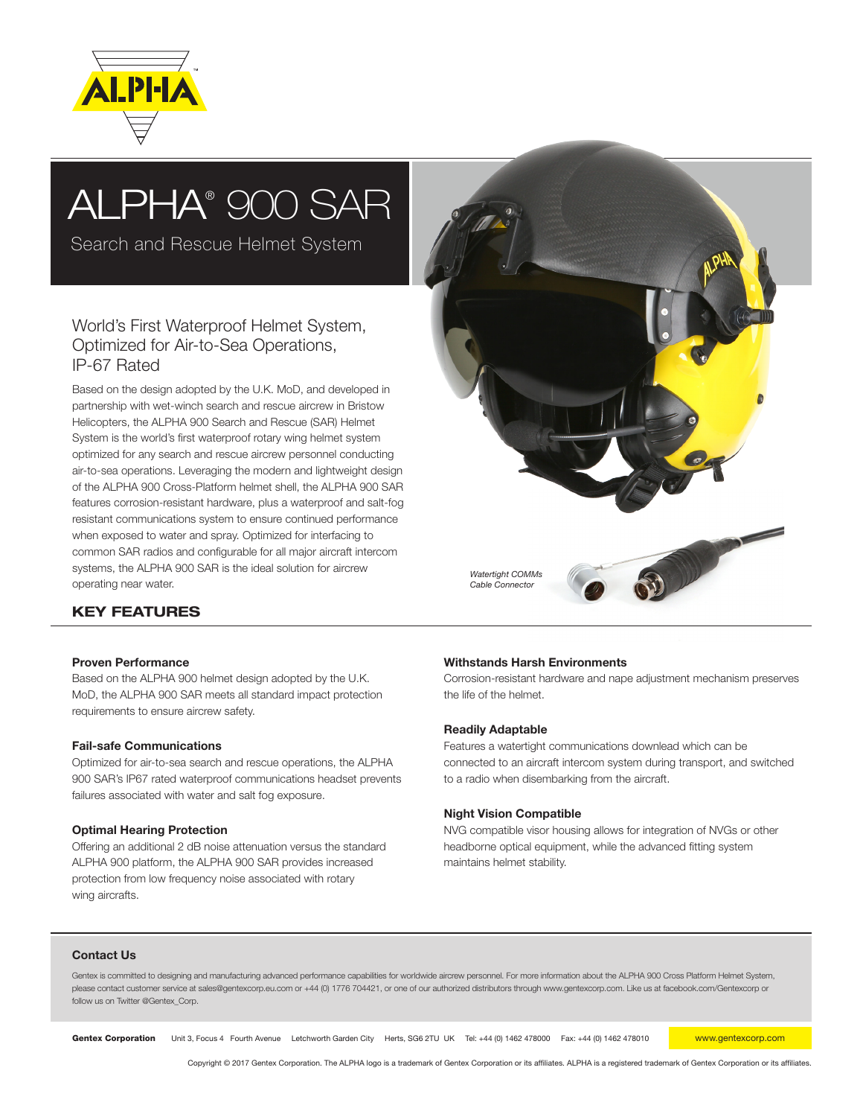

# ALPHA® 900 SAR

Search and Rescue Helmet System

## World's First Waterproof Helmet System, Optimized for Air-to-Sea Operations, IP-67 Rated

Based on the design adopted by the U.K. MoD, and developed in partnership with wet-winch search and rescue aircrew in Bristow Helicopters, the ALPHA 900 Search and Rescue (SAR) Helmet System is the world's first waterproof rotary wing helmet system optimized for any search and rescue aircrew personnel conducting air-to-sea operations. Leveraging the modern and lightweight design of the ALPHA 900 Cross-Platform helmet shell, the ALPHA 900 SAR features corrosion-resistant hardware, plus a waterproof and salt-fog resistant communications system to ensure continued performance when exposed to water and spray. Optimized for interfacing to common SAR radios and configurable for all major aircraft intercom systems, the ALPHA 900 SAR is the ideal solution for aircrew operating near water.



### KEY FEATURES

#### Proven Performance

Based on the ALPHA 900 helmet design adopted by the U.K. MoD, the ALPHA 900 SAR meets all standard impact protection requirements to ensure aircrew safety.

#### Fail-safe Communications

Optimized for air-to-sea search and rescue operations, the ALPHA 900 SAR's IP67 rated waterproof communications headset prevents failures associated with water and salt fog exposure.

#### Optimal Hearing Protection

Offering an additional 2 dB noise attenuation versus the standard ALPHA 900 platform, the ALPHA 900 SAR provides increased protection from low frequency noise associated with rotary wing aircrafts.

#### Withstands Harsh Environments

Corrosion-resistant hardware and nape adjustment mechanism preserves the life of the helmet.

#### Readily Adaptable

Features a watertight communications downlead which can be connected to an aircraft intercom system during transport, and switched to a radio when disembarking from the aircraft.

#### Night Vision Compatible

NVG compatible visor housing allows for integration of NVGs or other headborne optical equipment, while the advanced fitting system maintains helmet stability.

#### Contact Us

Gentex is committed to designing and manufacturing advanced performance capabilities for worldwide aircrew personnel. For more information about the ALPHA 900 Cross Platform Helmet System, please contact customer service at sales@gentexcorp.eu.com or +44 (0) 1776 704421, or one of our authorized distributors through www.gentexcorp.com. Like us at facebook.com/Gentexcorp or follow us on Twitter @Gentex\_Corp.

Gentex Corporation Unit 3, Focus 4 Fourth Avenue Letchworth Garden City Herts, SG6 2TU UK Tel: +44 (0) 1462 478000 Fax: +44 (0) 1462 478010 www.gentexcorp.com

Copyright © 2017 Gentex Corporation. The ALPHA logo is a trademark of Gentex Corporation or its affiliates. ALPHA is a registered trademark of Gentex Corporation or its affiliates.